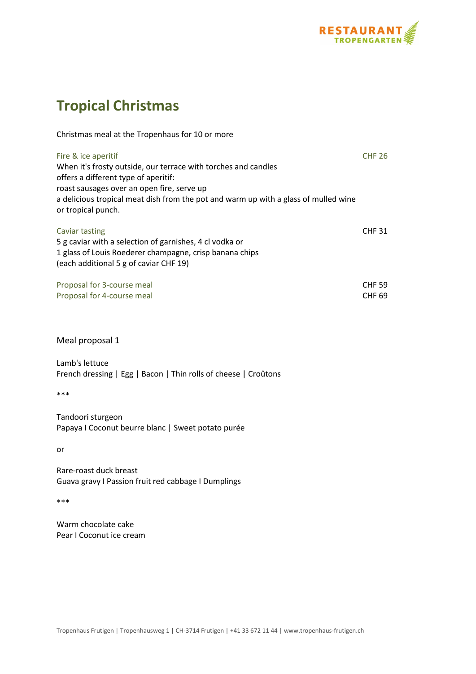

## **Tropical Christmas**

| Christmas meal at the Tropenhaus for 10 or more                                                                                                                                                                                                                                          |                                |
|------------------------------------------------------------------------------------------------------------------------------------------------------------------------------------------------------------------------------------------------------------------------------------------|--------------------------------|
| Fire & ice aperitif<br>When it's frosty outside, our terrace with torches and candles<br>offers a different type of aperitif:<br>roast sausages over an open fire, serve up<br>a delicious tropical meat dish from the pot and warm up with a glass of mulled wine<br>or tropical punch. | <b>CHF 26</b>                  |
| Caviar tasting<br>5 g caviar with a selection of garnishes, 4 cl vodka or<br>1 glass of Louis Roederer champagne, crisp banana chips<br>(each additional 5 g of caviar CHF 19)                                                                                                           | <b>CHF 31</b>                  |
| Proposal for 3-course meal<br>Proposal for 4-course meal                                                                                                                                                                                                                                 | <b>CHF 59</b><br><b>CHF 69</b> |

Meal proposal 1

Lamb's lettuce French dressing | Egg | Bacon | Thin rolls of cheese | Croûtons

\*\*\*

Tandoori sturgeon Papaya I Coconut beurre blanc | Sweet potato purée

or

Rare-roast duck breast Guava gravy I Passion fruit red cabbage I Dumplings

\*\*\*

Warm chocolate cake Pear I Coconut ice cream